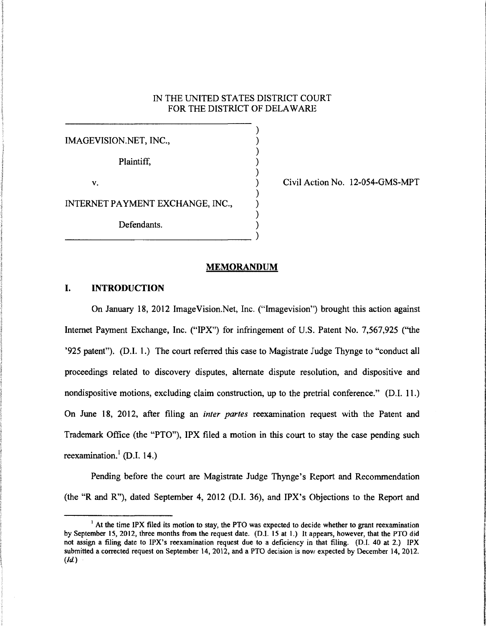### IN THE UNITED STATES DISTRICT COURT FOR THE DISTRICT OF DELAWARE

) ) ) ) )

) ) ) )

IMAGEVISION.NET, INC., Plaintiff, v. INTERNET PAYMENT EXCHANGE, INC., Defendants. ) -------------------------------- )

Civil Action No. 12-054-GMS-MPT

#### MEMORANDUM

# I. INTRODUCTION

On January 18, 2012 ImageVision.Net, Inc. ("lmagevision") brought this action against Internet Payment Exchange, Inc. ("IPX") for infringement of U.S. Patent No. 7,567,925 (''the '925 patent"). (D.I. 1.) The court referred this case to Magistrate Judge Thynge to "conduct all proceedings related to discovery disputes, alternate dispute resolution, and dispositive and nondispositive motions, excluding claim construction, up to the pretrial conference." (D.I. 11.) On June 18, 2012, after filing an *inter partes* reexamination request with the Patent and Trademark Office (the "PTO"), IPX filed a motion in this court to stay the case pending such reexamination.<sup>1</sup> (D.I. 14.)

Pending before the court are Magistrate Judge Thynge's Report and Recommendation (the "R and R"), dated September 4, 2012 (D.I. 36), and IPX's Objections to the Report and

 $<sup>1</sup>$  At the time IPX filed its motion to stay, the PTO was expected to decide whether to grant reexamination</sup> by September 15, 2012, three months from the request date. (D.l. 15 at 1.) It appears, however, that the PTO did not assign a filing date to IPX's reexamination request due to a deficiency in that filing. (D.I. 40 at 2.) IPX submitted a corrected request on September 14, 2012, and a PTO decision is now expected by December 14, 2012.  $(id.)$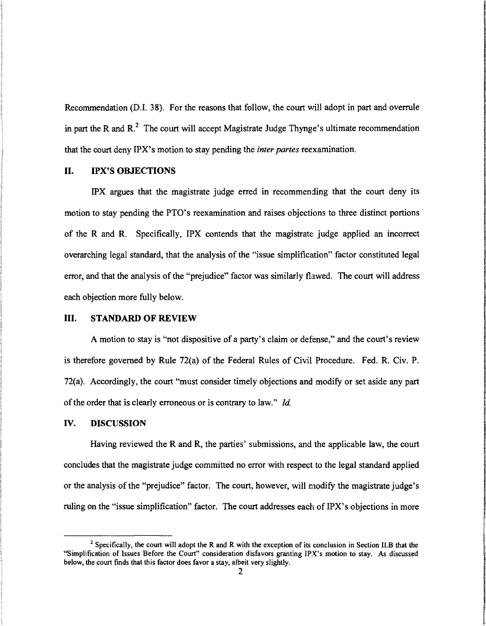Recommendation (D.I. 38). For the reasons that follow, the court will adopt in part and overrule in part the R and  $R<sup>2</sup>$ . The court will accept Magistrate Judge Thynge's ultimate recommendation that the court deny IPX's motion to stay pending the *inter partes* reexamination.

# **II. IPX'S OBJECTIONS**

IPX argues that the magistrate judge erred in recommending that the court deny its motion to stay pending the PTO's reexamination and raises objections to three distinct portions of the R and R. Specifically, IPX contends that the magistrate judge applied an incorrect overarching legal standard, that the analysis of the "issue simplification" factor constituted legal error, and that the analysis of the "prejudice" factor was similarly flawed. The court will address each objection more fully below.

### III. **STANDARD OF REVIEW**

A motion to stay is "not dispositive of a party's claim or defense," and the court's review is therefore governed by Rule 72(a) of the Federal Rules of Civil Procedure. Fed. R. Civ. **P.**  72(a). Accordingly, the court "must consider timely objections and modify or set aside any part of the order that is clearly erroneous or is contrary to law." *!d.* 

### IV. **DISCUSSION**

Having reviewed the R and R, the parties' submissions, and the applicable law, the court concludes that the magistrate judge committed no error with respect to the legal standard applied or the analysis of the "prejudice" factor. The court, however, will modify the magistrate judge's ruling on the "issue simplification" factor. The court addresses each of IPX's objections in more

 $2$  Specifically, the court will adopt the R and R with the exception of its conclusion in Section II.B that the "Simplification of Issues Before the Court" consideration disfavors granting IPX's motion to stay. As discussed below, the court finds that this factor does favor a stay, albeit very slightly.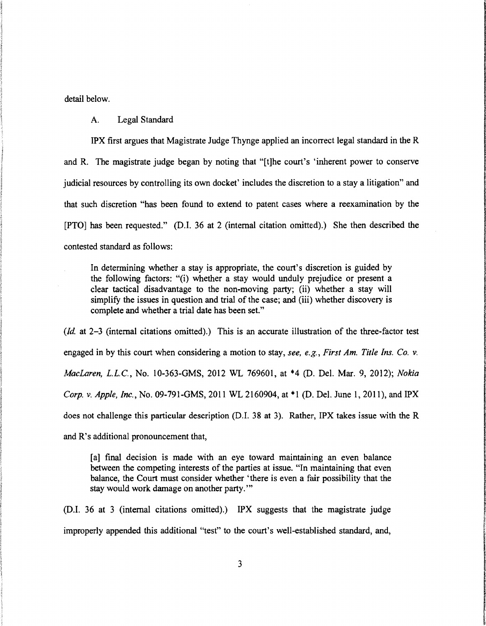detail below.

A. Legal Standard

IPX first argues that Magistrate Judge Thynge applied an incorrect legal standard in the R and R. The magistrate judge began by noting that "[t]he court's 'inherent power to conserve judicial resources by controlling its own docket' includes the discretion to a stay a litigation" and that such discretion "has been found to extend to patent cases where a reexamination by the [PTO] has been requested." (D.I. 36 at 2 (internal citation omitted).) She then described the contested standard as follows:

In determining whether a stay is appropriate, the court's discretion is guided by the following factors: "(i) whether a stay would unduly prejudice or present a clear tactical disadvantage to the non-moving party; (ii) whether a stay will simplify the issues in question and trial of the case; and (iii) whether discovery is complete and whether a trial date has been set."

*(ld* at 2-3 (internal citations omitted).) This is an accurate illustration of the three-factor test engaged in by this court when considering a motion to stay, *see, e.g., First Am. Title Ins. Co. v. MacLaren,* L.L.C., No. 10-363-GMS, 2012 WL 769601, at \*4 (D. Del. Mar. 9, 2012); *Nokia Corp. v. Apple, Inc.,* No. 09-791-GMS, 2011 WL 2160904, at \*1 (D. Del. June 1, 2011), and IPX does not challenge this particular description (D.I. 38 at 3). Rather, IPX takes issue with the R and R's additional pronouncement that,

[a] final decision is made with an eye toward maintaining an even balance between the competing interests of the parties at issue. "In maintaining that even balance, the Court must consider whether 'there is even a fair possibility that the stay would work damage on another party."'

(D.I. 36 at 3 (internal citations omitted).) IPX suggests that the magistrate judge improperly appended this additional ''test" to the court's well-established standard, and,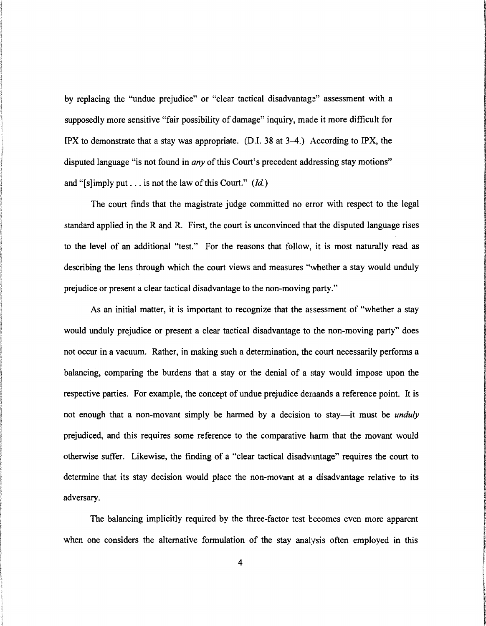by replacing the "undue prejudice" or "clear tactical disadvantage" assessment with a supposedly more sensitive "fair possibility of damage" inquiry, made it more difficult for IPX to demonstrate that a stay was appropriate. (D.I. 38 at  $3-4$ .) According to IPX, the disputed language "is not found in *any* of this Court's precedent addressing stay motions" and "[s]imply put . . . is not the law of this Court."  $(id)$ 

The court finds that the magistrate judge committed no error with respect to the legal standard applied in the R and R. First, the court is unconvinced that the disputed language rises to the level of an additional "test." For the reasons that follow, it is most naturally read as describing the lens through which the court views and measures "whether a stay would unduly prejudice or present a clear tactical disadvantage to the non-moving party."

As an initial matter, it is important to recognize that the assessment of "whether a stay would unduly prejudice or present a clear tactical disadvantage to the non-moving party" does not occur in a vacuum. Rather, in making such a determination, the court necessarily performs a balancing, comparing the burdens that a stay or the denial of a stay would impose upon the respective parties. For example, the concept of undue prejudice demands a reference point. It is not enough that a non-movant simply be harmed by a decision to stay-it must be *unduly*  prejudiced, and this requires some reference to the comparative harm that the movant would otherwise suffer. Likewise, the finding of a "clear tactical disadvantage" requires the court to determine that its stay decision would place the non-movant at a disadvantage relative to its adversary.

**ICAN AND A AGE DISTANCE** 

**Indianapolishi (Strange INTERNATIONAL** financial

**Extending Extendion of Advisors Communications** 

**ISO CONTRACTOR** 

The inconstruction of the Michelship

**International Control**ing

The balancing implicitly required by the three-factor test becomes even more apparent when one considers the alternative formulation of the stay analysis often employed in this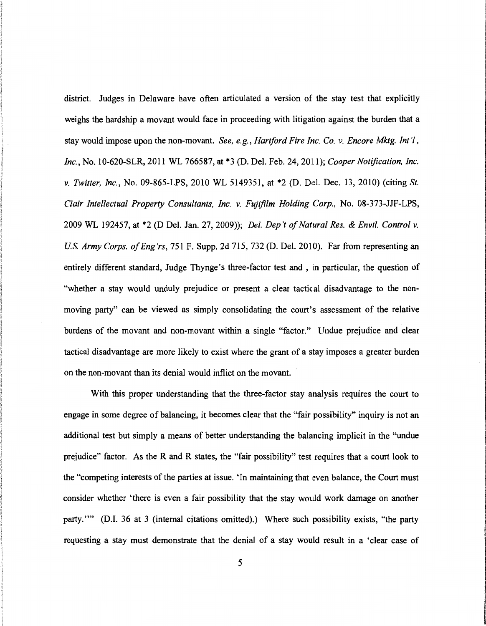district. Judges in Delaware have often articulated a version of the stay test that explicitly weighs the hardship a movant would face in proceeding with litigation against the burden that a stay would impose upon the non-movant. *See, e.g., Hartford Fire Inc. Co. v. Encore Mktg. Int'l, Inc.,* No. 10-620-SLR, 2011 WL 766587, at \*3 (D. Del. Feb. 24, 2011); *Cooper Notification, Inc. v. Twitter, Inc.,* No. 09-865-LPS, 2010 WL 5149351, at \*2 (D. Del. Dec. 13, 2010) (citing *St. Clair Intellectual Property Consultants, Inc. v. Fujifilm Holding Corp.,* No. 08-373-JJF-LPS, 2009 WL 192457, at \*2 (D Del. Jan. 27, 2009)); *Del. Dep't of Natural Res.* & *Envtl. Control v. US. Army Corps. of Eng'rs,* 751 F. Supp. 2d 715, 732 (D. Del. 2010). Far from representing an entirely different standard, Judge Thynge's three-factor test and , in particular, the question of "whether a stay would unduly prejudice or present a clear tactical disadvantage to the nonmoving party" can be viewed as simply consolidating the court's assessment of the relative burdens of the movant and non-movant within a single "factor." Undue prejudice and clear tactical disadvantage are more likely to exist where the grant of a stay imposes a greater burden on the non-movant than its denial would inflict on the movant.

With this proper understanding that the three-factor stay analysis requires the court to engage in some degree of balancing, it becomes clear that the "fair possibility" inquiry is not an additional test but simply a means of better understanding the balancing implicit in the "undue prejudice" factor. As the R and R states, the "fair possibility" test requires that a court look to the "competing interests of the parties at issue. 'In maintaining that even balance, the Court must consider whether 'there is even a fair possibility that the stay would work damage on another party."" (D.I. 36 at 3 (internal citations omitted).) Where such possibility exists, "the party requesting a stay must demonstrate that the denial of a stay would result in a 'clear case of

I

I

**International Contracts** 

l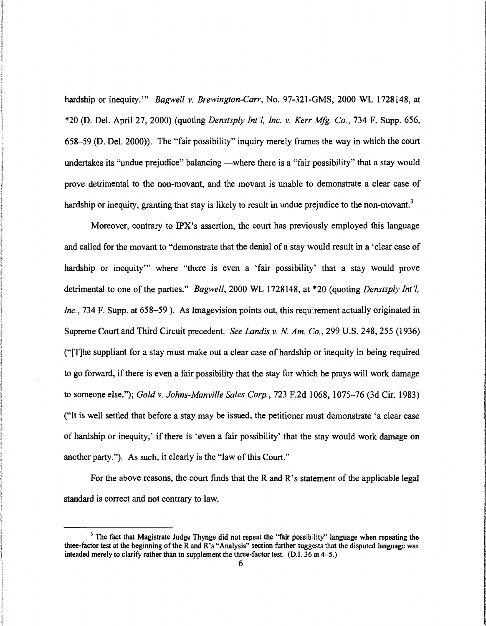hardship or inequity."' *Bagwell v. Brewington-Carr,* No. 97-321-GMS, 2000 WL 1728148, at \*20 (D. Del. April27, 2000) (quoting *Denstsply Int'l, Inc. v. Kerr Mfg. Co.,* 734 F. Supp. 656, 658-59 (D. Del. 2000)). The "fair possibility" inquiry merely frames the way in which the court undertakes its "undue prejudice" balancing —where there is a "fair possibility" that a stay would prove detrimental to the non-movant, and the movant is unable to demonstrate a clear case of hardship or inequity, granting that stay is likely to result in undue prejudice to the non-movant.<sup>3</sup>

Moreover, contrary to IPX's assertion, the court has previously employed this language and called for the movant to "demonstrate that the denial of a stay would result in a 'clear case of hardship or inequity"' where "there is even a 'fair possibility' that a stay would prove detrimental to one ofthe parties." *Bagwell,* 2000 WL 1728148, at \*20 (quoting *Denstsply Int'l, Inc.,* 734 F. Supp. at 658–59). As Imagevision points out, this requirement actually originated in Supreme Court and Third Circuit precedent. *See Landis v. N Am. Co.,* 299 U.S. 248, 255 (1936) ("[T]he suppliant for a stay must make out a clear case of hardship or inequity in being required to go forward, if there is even a fair possibility that the stay for which he prays will work damage to someone else."); *Gold v. Johns-Manville Sales Corp.,* 723 F.2d 1068, 1075-76 (3d Cir. 1983) ("It is well settled that before a stay may be issued, the petitioner must demonstrate 'a clear case of hardship or inequity,' ifthere is 'even a fair possibility' that the stay would work damage on another party."). As such, it clearly is the "law of this Court."

For the above reasons, the court finds that the R and R's statement of the applicable legal standard is correct and not contrary to law.

 $3$  The fact that Magistrate Judge Thynge did not repeat the "fair possibility" language when repeating the three-factor test at the beginning of the R and R's "Analysis" section further suggests that the disputed language was intended merely to clarify rather than to supplement the three-factor test. (D.l. 36 at 4-5.)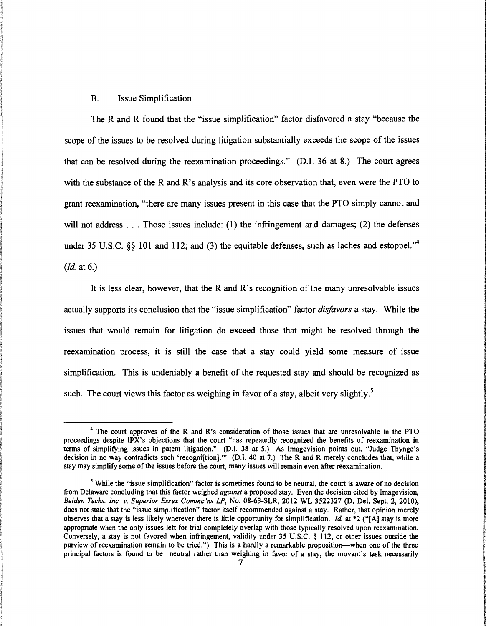### B. Issue Simplification

The R and R found that the "issue simplification" factor disfavored a stay "because the scope of the issues to be resolved during litigation substantially exceeds the scope of the issues that can be resolved during the reexamination proceedings." (D.I. 36 at 8.) The court agrees with the substance of the R and R's analysis and its core observation that, even were the PTO to grant reexamination, "there are many issues present in this case that the PTO simply cannot and will not address ... Those issues include: (1) the infringement and damages; (2) the defenses under 35 U.S.C.  $\S$  101 and 112; and (3) the equitable defenses, such as laches and estoppel."<sup>4</sup> *(ld* at 6.)

It is less clear, however, that the R and R's recognition of the many unresolvable issues actually supports its conclusion that the "issue simplification" factor *disfavors* a stay. While the issues that would remain for litigation do exceed those that might be resolved through the reexamination process, it is still the case that a stay could yield some measure of issue simplification. This is undeniably a benefit of the requested stay and should be recognized as such. The court views this factor as weighing in favor of a stay, albeit very slightly.<sup>5</sup>

<sup>4</sup> The court approves of the R and R's consideration of those issues that are unresolvable in the PTO proceedings despite IPX's objections that the court "has repeatedly recognized the benefits of reexamination in terms of simplifYing issues in patent litigation." (D.l. 38 at 5.) As Imagevision points out, "Judge Thynge's decision in no way contradicts such 'recogniftion]." (D.I. 40 at 7.) The R and R merely concludes that, while a stay may simplify some of the issues before the court, many issues will remain even after reexamination.

*s* While the "issue simplification" factor is sometimes found to be neutral, the court is aware of no decision from Delaware concluding that this factor weighed *against* a proposed stay. Even the decision cited by Imagevision, *Belden Techs. Inc. v. Superior Essex Commc'ns LP,* No. 08-63-SLR, 2012 WL 3522327 (D. Del. Sept. 2, 2010), does not state that the "issue simplification" factor itself recommended against a stay. Rather, that opinion merely observes that a stay is less likely wherever there is little opportunity for simplification. */d.* at \*2 ("(A] stay is more appropriate when the only issues left for trial completely overlap with those typic:ally resolved upon reexamination. Conversely, a stay is not favored when infringement, validity under 35 U.S.C. § 112, or other issues outside the purview of reexamination remain to be tried.") This is a hardly a remarkable proposition—when one of the three principal factors is found to be neutral rather than weighing in favor of a stay, the movant's task necessarily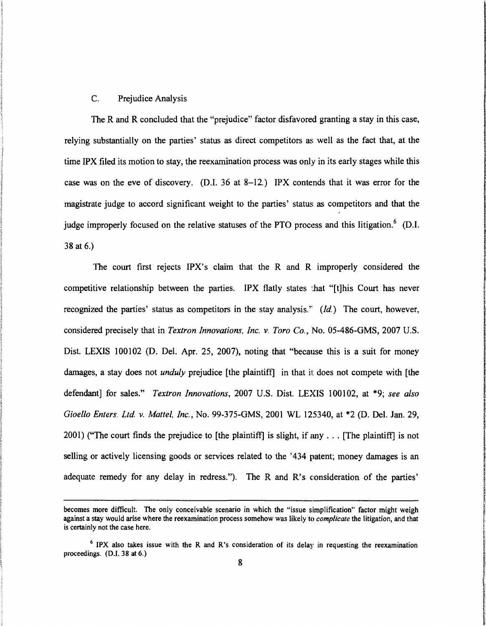### C. Prejudice Analysis

The R and R concluded that the "prejudice" factor disfavored granting a stay in this case, relying substantially on the parties' status as direct competitors as well as the fact that, at the time IPX filed its motion to stay, the reexamination process was only in its early stages while this case was on the eve of discovery. (D.I. 36 at 8-12.) IPX contends that it was error for the magistrate judge to accord significant weight to the parties' status as competitors and that the judge improperly focused on the relative statuses of the PTO process and this litigation.<sup>6</sup> (D.I. 38 at 6.)

The court first rejects IPX's claim that the R and R improperly considered the competitive relationship between the parties. IPX flatly states that "[t]his Court has never recognized the parties' status as competitors in the stay analysis." *{ld.)* The court, however, considered precisely that in *Textron Innovations, Inc. v. Toro Co.,* No. 05-486-GMS, 2007 U.S. Dist. LEXIS 100102 (D. Del. Apr. 25, 2007), noting that "because this is a suit for money damages, a stay does not *unduly* prejudice [the plaintiff] in that it does not compete with [the defendant] for sales." *Textron Innovations,* 2007 U.S. Dist. LEXIS 100102, at \*9; *see also Gioello Enters. Ltd. v. Matte/, Inc.,* No. 99-375-GMS, 2001 WL 125340, at \*2 (D. Del. Jan. 29, 2001) ("The court finds the prejudice to [the plaintiff] is slight, if any  $\ldots$  [The plaintiff] is not selling or actively licensing goods or services related to the '434 patent; money damages is an adequate remedy for any delay in redress."). The R and R's consideration of the parties'

becomes more difficult. The only conceivable scenario in which the "issue simplification" factor might weigh against a stay would arise where the reexamination process somehow was likely to *complicate* the litigation, and that is certainly not the case here.

<sup>&</sup>lt;sup>6</sup> IPX also takes issue with the R and R's consideration of its delay in requesting the reexamination proceedings. (D.I. 38 at 6.)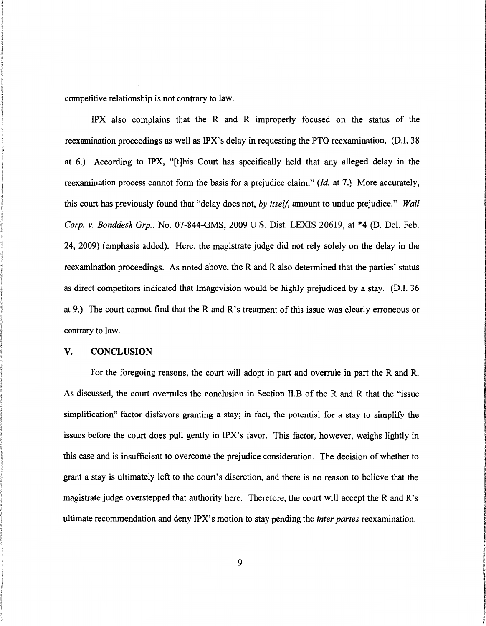competitive relationship is not contrary to law.

IPX also complains that the R and R improperly focused on the status of the reexamination proceedings as well as IPX's delay in requesting the PTO reexamination. (D.I. 38 at 6.) According to IPX, "[t]his Court has specifically held that any alleged delay in the reexamination process cannot form the basis for a prejudice claim.'' *(!d.* at 7.) More accurately, this court has previously found that "delay does not, *by itself,* amount to undue prejudice." *Wall Corp. v. Bonddesk Grp.,* No. 07-844-GMS, 2009 U.S. Dist. LEXIS 20619, at \*4 (D. Del. Feb. 24, 2009) (emphasis added). Here, the magistrate judge did not rely solely on the delay in the reexamination proceedings. As noted above, the R and R also determined that the parties' status as direct competitors indicated that Imagevision would be highly prejudiced by a stay. (D.I. 36 at 9.) The court cannot find that the R and R's treatment of this issue was clearly erroneous or contrary to law.

#### V. CONCLUSION

For the foregoing reasons, the court will adopt in part and overrule in part the R and R. As discussed, the court overrules the conclusion in Section II.B of the R and R that the "issue simplification" factor disfavors granting a stay; in fact, the potential for a stay to simplify the issues before the court does pull gently in IPX's favor. This factor, however, weighs lightly in this case and is insufficient to overcome the prejudice consideration. The decision of whether to grant a stay is ultimately left to the court's discretion, and there is no reason to believe that the magistrate judge overstepped that authority here. Therefore, the court will accept the R and R's ultimate recommendation and deny IPX's motion to stay pending the *inter partes* reexamination.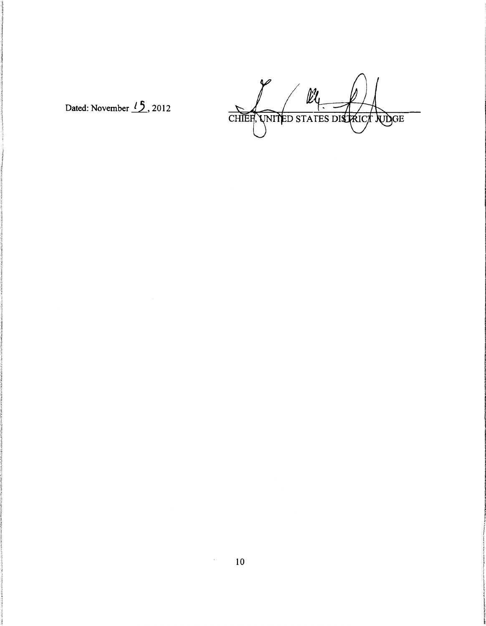Dated: November  $15$ , 2012

 $\varphi$  $\ell\ell$ CHIEF, UNITED STATES DISTRICT WOGE

 $\sim$